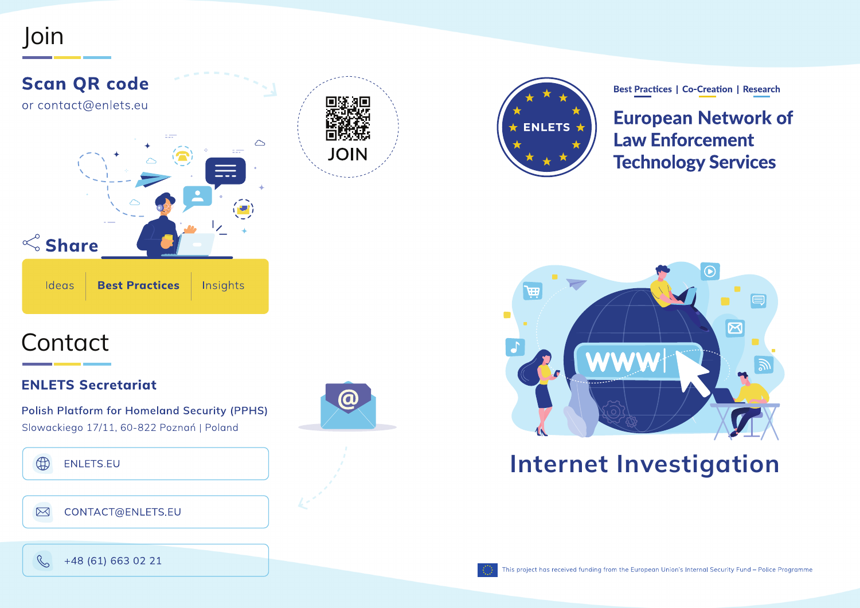### Join







**Best Practices | Co-Creation | Research** 

**European Network of Law Enforcement Technology Services** 



### Internet Investigation

# **Contact**

### **ENLETS Secretariat**

**Polish Platform for Homeland Security (PPHS)** Slowackiego 17/11, 60-822 Poznań | Poland



### $\bigoplus$ ENLETS.EU

### CONTACT@ENLETS.EU  $\boxtimes$